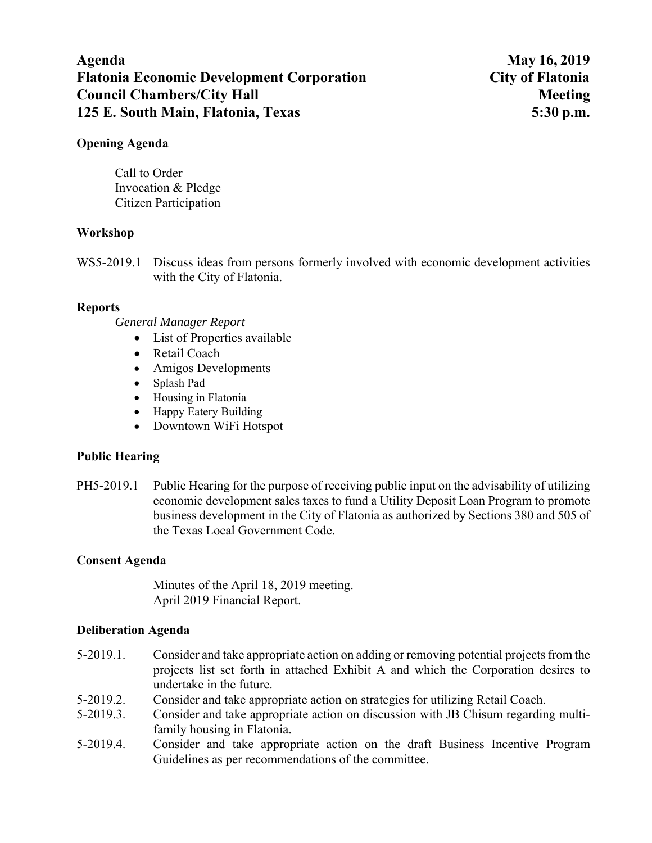# **Agenda May 16, 2019 Flatonia Economic Development Corporation City of Flatonia Council Chambers/City Hall Meeting Meeting Meeting Meeting Meeting Meeting Meeting Meeting Meeting Meeting Meeting Meeting Meeting Meeting Meeting Meeting Meeting Meeting Meeting Meeting Meeting Meeting Meeting Meeting Me 125 E. South Main, Flatonia, Texas 5:30 p.m.**

### **Opening Agenda**

Call to Order Invocation & Pledge Citizen Participation

#### **Workshop**

WS5-2019.1 Discuss ideas from persons formerly involved with economic development activities with the City of Flatonia.

#### **Reports**

*General Manager Report* 

- List of Properties available
- Retail Coach
- Amigos Developments
- Splash Pad
- Housing in Flatonia
- Happy Eatery Building
- Downtown WiFi Hotspot

### **Public Hearing**

PH5-2019.1 Public Hearing for the purpose of receiving public input on the advisability of utilizing economic development sales taxes to fund a Utility Deposit Loan Program to promote business development in the City of Flatonia as authorized by Sections 380 and 505 of the Texas Local Government Code.

### **Consent Agenda**

Minutes of the April 18, 2019 meeting. April 2019 Financial Report.

### **Deliberation Agenda**

- 5-2019.1. Consider and take appropriate action on adding or removing potential projects from the projects list set forth in attached Exhibit A and which the Corporation desires to undertake in the future.
- 5-2019.2. Consider and take appropriate action on strategies for utilizing Retail Coach.
- 5-2019.3. Consider and take appropriate action on discussion with JB Chisum regarding multifamily housing in Flatonia.
- 5-2019.4. Consider and take appropriate action on the draft Business Incentive Program Guidelines as per recommendations of the committee.